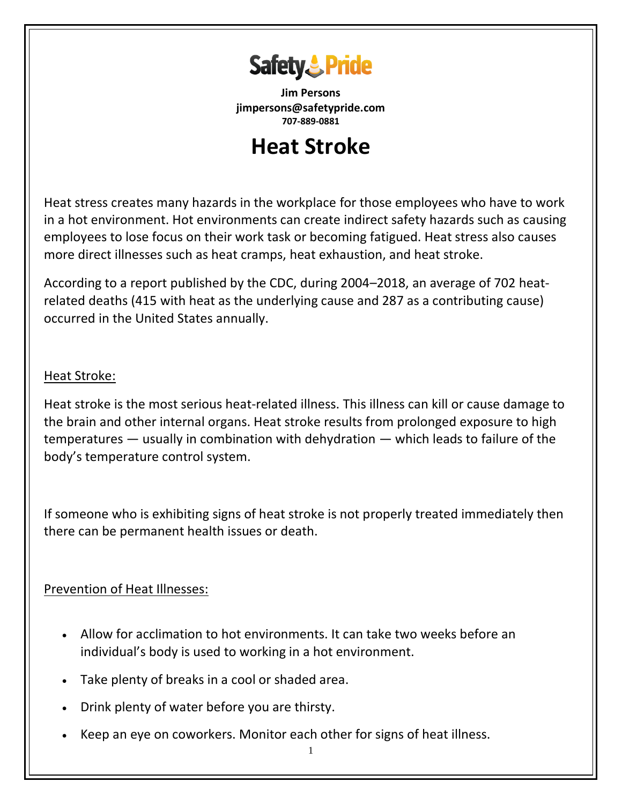

**Jim Persons jimpersons@safetypride.com 707-889-0881**

# **Heat Stroke**

[Heat stress creates many hazards in the workplace](https://www.safetytalkideas.com/safetytalks/heat-stress/) for those employees who have to work in a hot environment. Hot environments can create indirect safety hazards such as causing employees to lose focus on their work task or becoming fatigued. Heat stress also causes more direct illnesses such as heat cramps, heat exhaustion, and heat stroke.

According to a report published by the CDC, during 2004–2018, an average of 702 heatrelated deaths (415 with heat as the underlying cause and 287 as a contributing cause) occurred in the United States annually.

#### Heat Stroke:

Heat stroke is the most serious heat-related illness. This illness can kill or cause damage to the brain and other internal organs. Heat stroke results from prolonged exposure to high temperatures — usually in combination with dehydration — which leads to failure of the body's temperature control system.

If someone who is exhibiting signs of heat stroke is not properly treated immediately then there can be permanent health issues or death.

#### Prevention of Heat Illnesses:

- Allow for acclimation to hot environments. It can take two weeks before an individual's body is used to working in a hot environment.
- Take plenty of breaks in a cool or shaded area.
- Drink plenty of water before you are thirsty.
- Keep an eye on coworkers. Monitor each other for signs of heat illness.